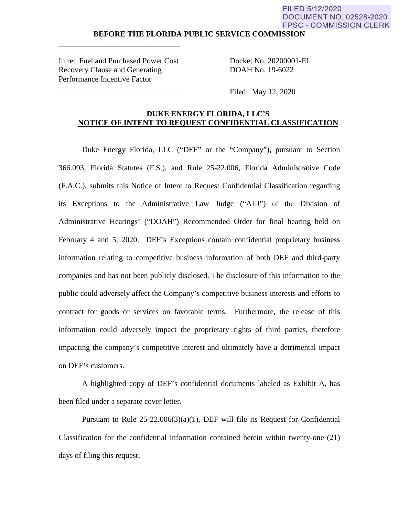#### **BEFORE THE FLORIDA PUBLIC SERVICE COMMISSION**

In re: Fuel and Purchased Power Cost Docket No. 20200001-EI Recovery Clause and Generating DOAH No. 19-6022 Performance Incentive Factor

\_\_\_\_\_\_\_\_\_\_\_\_\_\_\_\_\_\_\_\_\_\_\_\_\_\_\_\_\_\_\_

Filed: May 12, 2020

### **DUKE ENERGY FLORIDA, LLC'S NOTICE OF INTENT TO REQUEST CONFIDENTIAL CLASSIFICATION**

Duke Energy Florida, LLC ("DEF" or the "Company"), pursuant to Section 366.093, Florida Statutes (F.S.), and Rule 25-22.006, Florida Administrative Code (F.A.C.), submits this Notice of Intent to Request Confidential Classification regarding its Exceptions to the Administrative Law Judge ("ALJ") of the Division of Administrative Hearings' ("DOAH") Recommended Order for final hearing held on February 4 and 5, 2020. DEF's Exceptions contain confidential proprietary business information relating to competitive business information of both DEF and third-party companies and has not been publicly disclosed. The disclosure of this information to the public could adversely affect the Company's competitive business interests and efforts to contract for goods or services on favorable terms. Furthermore, the release of this information could adversely impact the proprietary rights of third parties, therefore impacting the company's competitive interest and ultimately have a detrimental impact on DEF's customers.

A highlighted copy of DEF's confidential documents labeled as Exhibit A, has been filed under a separate cover letter.

Pursuant to Rule  $25-22.006(3)(a)(1)$ , DEF will file its Request for Confidential Classification for the confidential information contained herein within twenty-one (21) days of filing this request.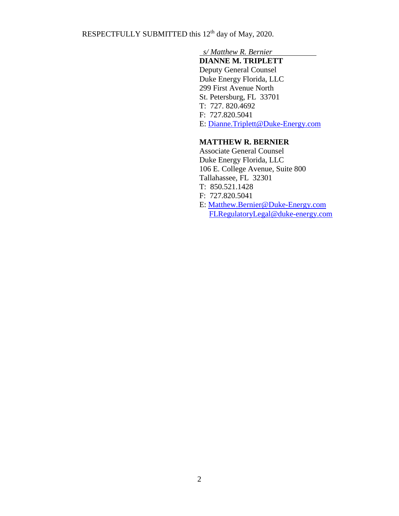RESPECTFULLY SUBMITTED this 12<sup>th</sup> day of May, 2020.

## *s/ Matthew R. Bernier*

 **DIANNE M. TRIPLETT** Deputy General Counsel

 Duke Energy Florida, LLC 299 First Avenue North St. Petersburg, FL 33701 T: 727. 820.4692 F: 727.820.5041 E: [Dianne.Triplett@Duke-Energy.com](mailto:Dianne.Triplett@Duke-Energy.com)

### **MATTHEW R. BERNIER**

 Associate General Counsel Duke Energy Florida, LLC 106 E. College Avenue, Suite 800 Tallahassee, FL 32301 T: 850.521.1428 F: 727.820.5041 E: [Matthew.Bernier@Duke-Energy.com](mailto:Matthew.Bernier@Duke-Energy.com) FLRegulatoryLegal@duke-energy.com